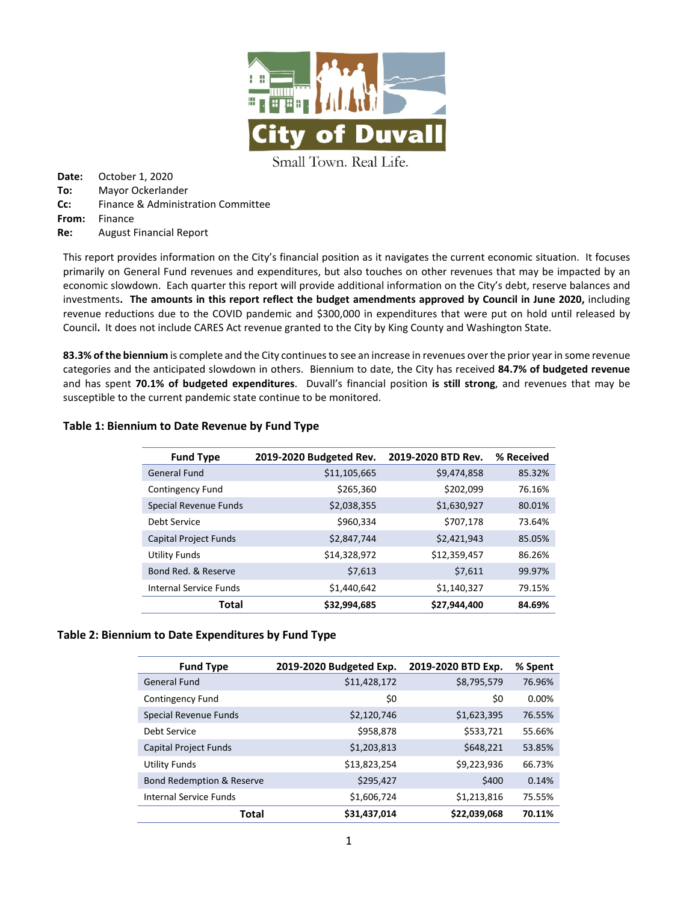

Small Town. Real Life.

**Date:** October 1, 2020 **To:** Mayor Ockerlander **Cc:** Finance & Administration Committee **From:** Finance **Re:** August Financial Report

This report provides information on the City's financial position as it navigates the current economic situation. It focuses primarily on General Fund revenues and expenditures, but also touches on other revenues that may be impacted by an economic slowdown. Each quarter this report will provide additional information on the City's debt, reserve balances and investments**. The amounts in this report reflect the budget amendments approved by Council in June 2020,** including revenue reductions due to the COVID pandemic and \$300,000 in expenditures that were put on hold until released by Council**.** It does not include CARES Act revenue granted to the City by King County and Washington State.

**83.3% of the biennium** is complete and the City continues to see an increase in revenues over the prior year in some revenue categories and the anticipated slowdown in others. Biennium to date, the City has received **84.7% of budgeted revenue** and has spent **70.1% of budgeted expenditures**. Duvall's financial position **is still strong**, and revenues that may be susceptible to the current pandemic state continue to be monitored.

| <b>Fund Type</b>              | 2019-2020 Budgeted Rev. | 2019-2020 BTD Rev. | % Received |
|-------------------------------|-------------------------|--------------------|------------|
| <b>General Fund</b>           | \$11,105,665            | \$9,474,858        | 85.32%     |
| <b>Contingency Fund</b>       | \$265,360               | \$202,099          | 76.16%     |
| Special Revenue Funds         | \$2,038,355             | \$1,630,927        | 80.01%     |
| Debt Service                  | \$960,334               | \$707,178          | 73.64%     |
| <b>Capital Project Funds</b>  | \$2,847,744             | \$2,421,943        | 85.05%     |
| <b>Utility Funds</b>          | \$14,328,972            | \$12,359,457       | 86.26%     |
| Bond Red. & Reserve           | \$7,613                 | \$7,611            | 99.97%     |
| <b>Internal Service Funds</b> | \$1,440,642             | \$1,140,327        | 79.15%     |
| Total                         | \$32,994,685            | \$27.944.400       | 84.69%     |

## **Table 1: Biennium to Date Revenue by Fund Type**

### **Table 2: Biennium to Date Expenditures by Fund Type**

| <b>Fund Type</b>                     | 2019-2020 Budgeted Exp. | 2019-2020 BTD Exp. | % Spent |
|--------------------------------------|-------------------------|--------------------|---------|
| <b>General Fund</b>                  | \$11,428,172            | \$8,795,579        | 76.96%  |
| Contingency Fund                     | \$0                     | \$0                | 0.00%   |
| <b>Special Revenue Funds</b>         | \$2,120,746             | \$1,623,395        | 76.55%  |
| Debt Service                         | \$958,878               | \$533,721          | 55.66%  |
| Capital Project Funds                | \$1,203,813             | \$648,221          | 53.85%  |
| <b>Utility Funds</b>                 | \$13,823,254            | \$9,223,936        | 66.73%  |
| <b>Bond Redemption &amp; Reserve</b> | \$295,427               | \$400              | 0.14%   |
| <b>Internal Service Funds</b>        | \$1,606,724             | \$1,213,816        | 75.55%  |
| Total                                | \$31,437,014            | \$22,039,068       | 70.11%  |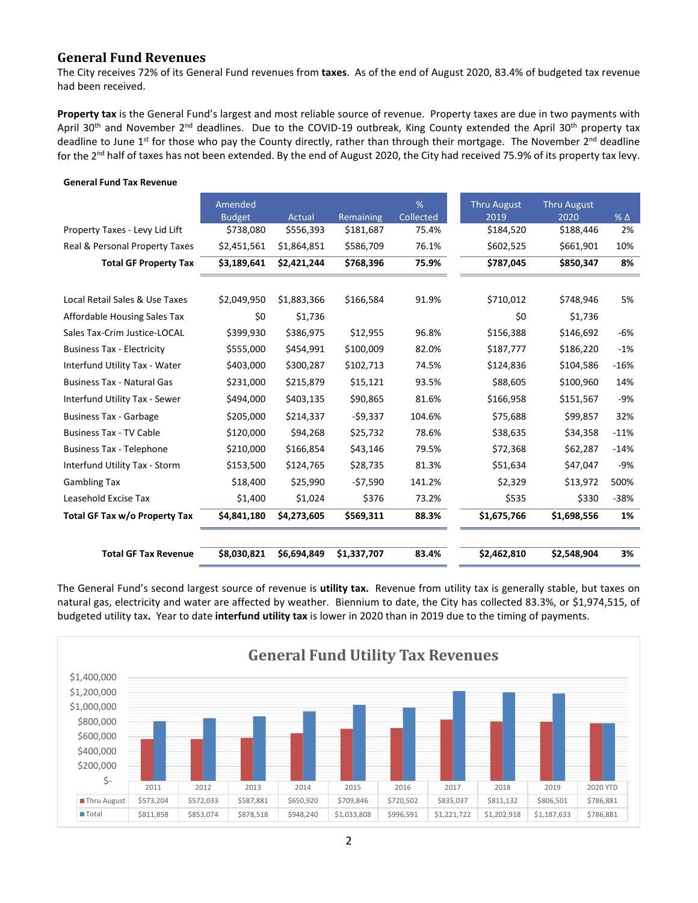## **General Fund Revenues**

The City receives 72% of its General Fund revenues from **taxes**. As of the end of August 2020, 83.4% of budgeted tax revenue had been received.

**Property tax** is the General Fund's largest and most reliable source of revenue. Property taxes are due in two payments with April 30<sup>th</sup> and November 2<sup>nd</sup> deadlines. Due to the COVID-19 outbreak, King County extended the April 30<sup>th</sup> property tax deadline to June  $1^{st}$  for those who pay the County directly, rather than through their mortgage. The November  $2^{nd}$  deadline for the 2nd half of taxes has not been extended. By the end of August 2020, the City had received 75.9% of its property tax levy.

|                                   | Amended                    |                     |                        | %                  | <b>Thru August</b> | <b>Thru August</b> |                       |
|-----------------------------------|----------------------------|---------------------|------------------------|--------------------|--------------------|--------------------|-----------------------|
| Property Taxes - Levy Lid Lift    | <b>Budget</b><br>\$738,080 | Actual<br>\$556,393 | Remaining<br>\$181,687 | Collected<br>75.4% | 2019<br>\$184,520  | 2020<br>\$188,446  | $%$ $\triangle$<br>2% |
|                                   |                            |                     |                        |                    |                    |                    |                       |
| Real & Personal Property Taxes    | \$2,451,561                | \$1,864,851         | \$586,709              | 76.1%              | \$602,525          | \$661,901          | 10%                   |
| <b>Total GF Property Tax</b>      | \$3,189,641                | \$2,421,244         | \$768,396              | 75.9%              | \$787,045          | \$850,347          | 8%                    |
|                                   |                            |                     |                        |                    |                    |                    |                       |
| Local Retail Sales & Use Taxes    | \$2,049,950                | \$1,883,366         | \$166,584              | 91.9%              | \$710,012          | \$748,946          | 5%                    |
| Affordable Housing Sales Tax      | \$0                        | \$1,736             |                        |                    | \$0                | \$1,736            |                       |
| Sales Tax-Crim Justice-LOCAL      | \$399,930                  | \$386,975           | \$12,955               | 96.8%              | \$156,388          | \$146,692          | $-6%$                 |
| <b>Business Tax - Electricity</b> | \$555,000                  | \$454,991           | \$100,009              | 82.0%              | \$187,777          | \$186,220          | $-1%$                 |
| Interfund Utility Tax - Water     | \$403,000                  | \$300,287           | \$102,713              | 74.5%              | \$124,836          | \$104,586          | $-16%$                |
| <b>Business Tax - Natural Gas</b> | \$231,000                  | \$215,879           | \$15,121               | 93.5%              | \$88,605           | \$100,960          | 14%                   |
| Interfund Utility Tax - Sewer     | \$494,000                  | \$403,135           | \$90,865               | 81.6%              | \$166,958          | \$151,567          | $-9%$                 |
| <b>Business Tax - Garbage</b>     | \$205,000                  | \$214,337           | -\$9,337               | 104.6%             | \$75,688           | \$99,857           | 32%                   |
| <b>Business Tax - TV Cable</b>    | \$120,000                  | \$94,268            | \$25,732               | 78.6%              | \$38,635           | \$34,358           | $-11%$                |
| <b>Business Tax - Telephone</b>   | \$210,000                  | \$166,854           | \$43,146               | 79.5%              | \$72,368           | \$62,287           | $-14%$                |
| Interfund Utility Tax - Storm     | \$153,500                  | \$124,765           | \$28,735               | 81.3%              | \$51,634           | \$47,047           | $-9%$                 |
| <b>Gambling Tax</b>               | \$18,400                   | \$25,990            | -\$7,590               | 141.2%             | \$2,329            | \$13,972           | 500%                  |
| Leasehold Excise Tax              | \$1,400                    | \$1,024             | \$376                  | 73.2%              | \$535              | \$330              | $-38%$                |
| Total GF Tax w/o Property Tax     | \$4,841,180                | \$4,273,605         | \$569,311              | 88.3%              | \$1,675,766        | \$1,698,556        | 1%                    |
|                                   |                            |                     |                        |                    |                    |                    |                       |
| <b>Total GF Tax Revenue</b>       | \$8,030,821                | \$6,694,849         | \$1,337,707            | 83.4%              | \$2,462,810        | \$2,548,904        | 3%                    |

#### **General Fund Tax Revenue**

The General Fund's second largest source of revenue is **utility tax.** Revenue from utility tax is generally stable, but taxes on natural gas, electricity and water are affected by weather. Biennium to date, the City has collected 83.3%, or \$1,974,515, of budgeted utility tax**.** Year to date **interfund utility tax** is lower in 2020 than in 2019 due to the timing of payments.

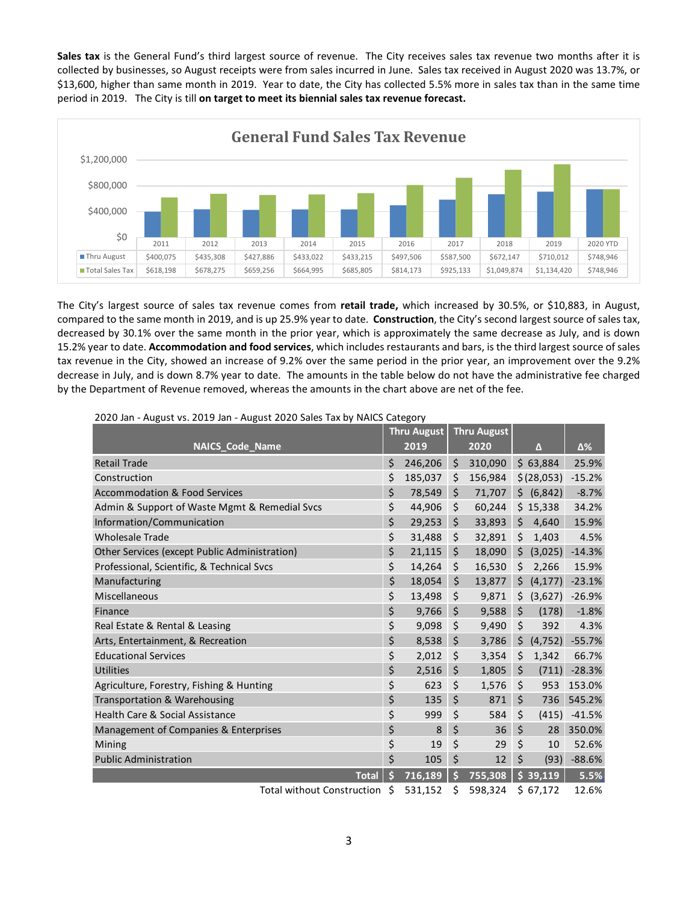**Sales tax** is the General Fund's third largest source of revenue. The City receives sales tax revenue two months after it is collected by businesses, so August receipts were from sales incurred in June. Sales tax received in August 2020 was 13.7%, or \$13,600, higher than same month in 2019. Year to date, the City has collected 5.5% more in sales tax than in the same time period in 2019. The City is till **on target to meet its biennial sales tax revenue forecast.**



The City's largest source of sales tax revenue comes from **retail trade,** which increased by 30.5%, or \$10,883, in August, compared to the same month in 2019, and is up 25.9% year to date. **Construction**, the City's second largest source of sales tax, decreased by 30.1% over the same month in the prior year, which is approximately the same decrease as July, and is down 15.2% year to date. **Accommodation and food services**, which includes restaurants and bars, is the third largest source of sales tax revenue in the City, showed an increase of 9.2% over the same period in the prior year, an improvement over the 9.2% decrease in July, and is down 8.7% year to date. The amounts in the table below do not have the administrative fee charged by the Department of Revenue removed, whereas the amounts in the chart above are net of the fee.

|                                               |    | <b>Thru August</b> | <b>Thru August</b>                                                                                  |         |                             |                      |
|-----------------------------------------------|----|--------------------|-----------------------------------------------------------------------------------------------------|---------|-----------------------------|----------------------|
| <b>NAICS_Code_Name</b>                        |    | 2019               | 2020                                                                                                |         | Δ                           | Δ%                   |
| <b>Retail Trade</b>                           | \$ | 246,206            | \$<br>310,090                                                                                       |         | \$63,884                    | 25.9%                |
| Construction                                  | \$ | 185,037            | \$<br>156,984                                                                                       |         | \$(28,053)                  | $-15.2%$             |
| <b>Accommodation &amp; Food Services</b>      | \$ | 78,549             | \$<br>71,707                                                                                        |         | \$ (6,842)                  | $-8.7%$              |
| Admin & Support of Waste Mgmt & Remedial Svcs | \$ | 44,906             | \$<br>60,244                                                                                        |         | \$15,338                    | 34.2%                |
| Information/Communication                     | \$ | 29,253             | \$<br>33,893                                                                                        | \$      | 4,640                       | 15.9%                |
| <b>Wholesale Trade</b>                        | \$ | 31,488             | \$<br>32,891                                                                                        | \$      | 1,403                       | 4.5%                 |
| Other Services (except Public Administration) | \$ | 21,115             | \$<br>18,090                                                                                        | \$      | (3,025)                     | $-14.3%$             |
| Professional, Scientific, & Technical Svcs    | \$ | 14,264             | \$<br>16,530                                                                                        | \$      | 2,266                       | 15.9%                |
| Manufacturing                                 | \$ | 18,054             | \$<br>13,877                                                                                        | \$      | (4, 177)                    | $-23.1%$             |
| Miscellaneous                                 | \$ | 13,498             | \$<br>9,871                                                                                         | \$      | (3,627)                     | $-26.9%$             |
| Finance                                       | \$ | 9,766              | \$<br>9,588                                                                                         | $\zeta$ | (178)                       | $-1.8%$              |
| Real Estate & Rental & Leasing                | \$ | 9,098              | \$<br>9,490                                                                                         | \$      | 392                         | 4.3%                 |
| Arts, Entertainment, & Recreation             | \$ | 8,538              | \$<br>3,786                                                                                         | \$      | (4, 752)                    | $-55.7%$             |
| <b>Educational Services</b>                   | \$ | 2,012              | \$<br>3,354                                                                                         | \$      | 1,342                       | 66.7%                |
| <b>Utilities</b>                              | \$ | 2,516              | \$<br>1,805                                                                                         | \$      | (711)                       | $-28.3%$             |
| Agriculture, Forestry, Fishing & Hunting      | \$ | 623                | \$<br>1,576                                                                                         | \$      | 953                         | 153.0%               |
| Transportation & Warehousing                  | \$ | 135                | \$<br>871                                                                                           | \$      | 736                         | 545.2%               |
| <b>Health Care &amp; Social Assistance</b>    | \$ | 999                | \$<br>584                                                                                           | \$      | (415)                       | $-41.5%$             |
| Management of Companies & Enterprises         | \$ | 8                  | \$<br>36                                                                                            | \$      | 28                          | 350.0%               |
| Mining                                        | \$ | 19                 | \$<br>29                                                                                            | \$      | 10                          | 52.6%                |
| <b>Public Administration</b>                  | \$ | 105                | \$<br>12                                                                                            | \$      | (93)                        | $-88.6%$             |
| <b>Total</b>                                  | Ś  | 716,189            | \$<br>755,308                                                                                       |         | \$39,119                    | 5.5%                 |
| $\mathbf{r}$ and $\mathbf{r}$                 |    | $\Gamma$ $\Omega$  | $\Gamma$ <sup><math>\Omega</math><math>\Omega</math></sup> $\Omega$ <sup><math>\Lambda</math></sup> |         | $\sim$ $\sim$ $\sim$ $\sim$ | $\sim$ $\sim$ $\sim$ |

2020 Jan - August vs. 2019 Jan - August 2020 Sales Tax by NAICS Category

Total without Construction \$ 531,152 \$ 598,324 \$ 67,172 12.6%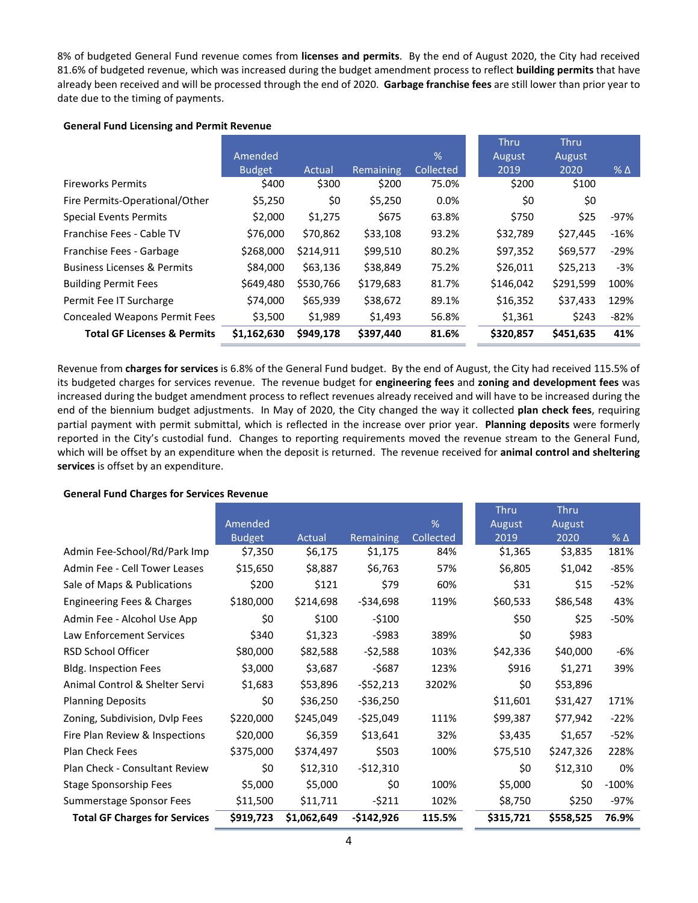8% of budgeted General Fund revenue comes from **licenses and permits**. By the end of August 2020, the City had received 81.6% of budgeted revenue, which was increased during the budget amendment process to reflect **building permits** that have already been received and will be processed through the end of 2020. **Garbage franchise fees** are still lower than prior year to date due to the timing of payments.

### **General Fund Licensing and Permit Revenue**

|                                        |               |           |           |           | <b>Thru</b> | <b>Thru</b> |            |
|----------------------------------------|---------------|-----------|-----------|-----------|-------------|-------------|------------|
|                                        | Amended       |           |           | %         | August      | August      |            |
|                                        | <b>Budget</b> | Actual    | Remaining | Collected | 2019        | 2020        | $% \Delta$ |
| <b>Fireworks Permits</b>               | \$400         | \$300     | \$200     | 75.0%     | \$200       | \$100       |            |
| Fire Permits-Operational/Other         | \$5,250       | \$0       | \$5,250   | 0.0%      | \$0         | \$0         |            |
| <b>Special Events Permits</b>          | \$2,000       | \$1,275   | \$675     | 63.8%     | \$750       | \$25        | $-97%$     |
| Franchise Fees - Cable TV              | \$76,000      | \$70,862  | \$33,108  | 93.2%     | \$32,789    | \$27,445    | $-16%$     |
| Franchise Fees - Garbage               | \$268,000     | \$214,911 | \$99,510  | 80.2%     | \$97,352    | \$69,577    | $-29%$     |
| <b>Business Licenses &amp; Permits</b> | \$84,000      | \$63,136  | \$38,849  | 75.2%     | \$26,011    | \$25,213    | $-3%$      |
| <b>Building Permit Fees</b>            | \$649,480     | \$530,766 | \$179,683 | 81.7%     | \$146,042   | \$291,599   | 100%       |
| Permit Fee IT Surcharge                | \$74,000      | \$65,939  | \$38,672  | 89.1%     | \$16,352    | \$37,433    | 129%       |
| <b>Concealed Weapons Permit Fees</b>   | \$3,500       | \$1,989   | \$1,493   | 56.8%     | \$1,361     | \$243       | $-82%$     |
| <b>Total GF Licenses &amp; Permits</b> | \$1,162,630   | \$949,178 | \$397,440 | 81.6%     | \$320,857   | \$451,635   | 41%        |

Revenue from **charges for services** is 6.8% of the General Fund budget. By the end of August, the City had received 115.5% of its budgeted charges for services revenue. The revenue budget for **engineering fees** and **zoning and development fees** was increased during the budget amendment process to reflect revenues already received and will have to be increased during the end of the biennium budget adjustments. In May of 2020, the City changed the way it collected **plan check fees**, requiring partial payment with permit submittal, which is reflected in the increase over prior year. **Planning deposits** were formerly reported in the City's custodial fund. Changes to reporting requirements moved the revenue stream to the General Fund, which will be offset by an expenditure when the deposit is returned. The revenue received for **animal control and sheltering services** is offset by an expenditure.

### **General Fund Charges for Services Revenue**

|                                      |               |             |             |                  | <b>Thru</b> | <b>Thru</b> |              |
|--------------------------------------|---------------|-------------|-------------|------------------|-------------|-------------|--------------|
|                                      | Amended       |             |             | %                | August      | August      |              |
|                                      | <b>Budget</b> | Actual      | Remaining   | <b>Collected</b> | 2019        | 2020        | $%$ $\Delta$ |
| Admin Fee-School/Rd/Park Imp         | \$7,350       | \$6,175     | \$1,175     | 84%              | \$1,365     | \$3,835     | 181%         |
| Admin Fee - Cell Tower Leases        | \$15,650      | \$8,887     | \$6,763     | 57%              | \$6,805     | \$1,042     | $-85%$       |
| Sale of Maps & Publications          | \$200         | \$121       | \$79        | 60%              | \$31        | \$15        | $-52%$       |
| Engineering Fees & Charges           | \$180,000     | \$214,698   | $-534,698$  | 119%             | \$60,533    | \$86,548    | 43%          |
| Admin Fee - Alcohol Use App          | \$0           | \$100       | $-$100$     |                  | \$50        | \$25        | -50%         |
| Law Enforcement Services             | \$340         | \$1,323     | $-5983$     | 389%             | \$0         | \$983       |              |
| RSD School Officer                   | \$80,000      | \$82,588    | $-52,588$   | 103%             | \$42,336    | \$40,000    | -6%          |
| <b>Bldg. Inspection Fees</b>         | \$3,000       | \$3,687     | -\$687      | 123%             | \$916       | \$1,271     | 39%          |
| Animal Control & Shelter Servi       | \$1,683       | \$53,896    | $-552,213$  | 3202%            | \$0         | \$53,896    |              |
| <b>Planning Deposits</b>             | \$0           | \$36,250    | $-536,250$  |                  | \$11,601    | \$31,427    | 171%         |
| Zoning, Subdivision, Dvlp Fees       | \$220,000     | \$245,049   | $-525,049$  | 111%             | \$99,387    | \$77,942    | $-22%$       |
| Fire Plan Review & Inspections       | \$20,000      | \$6,359     | \$13,641    | 32%              | \$3,435     | \$1,657     | $-52%$       |
| <b>Plan Check Fees</b>               | \$375,000     | \$374,497   | \$503       | 100%             | \$75,510    | \$247,326   | 228%         |
| Plan Check - Consultant Review       | \$0           | \$12,310    | $-512,310$  |                  | \$0         | \$12,310    | 0%           |
| Stage Sponsorship Fees               | \$5,000       | \$5,000     | \$0         | 100%             | \$5,000     | \$0         | $-100%$      |
| Summerstage Sponsor Fees             | \$11,500      | \$11,711    | $-5211$     | 102%             | \$8,750     | \$250       | $-97%$       |
| <b>Total GF Charges for Services</b> | \$919,723     | \$1,062,649 | $-$142,926$ | 115.5%           | \$315,721   | \$558,525   | 76.9%        |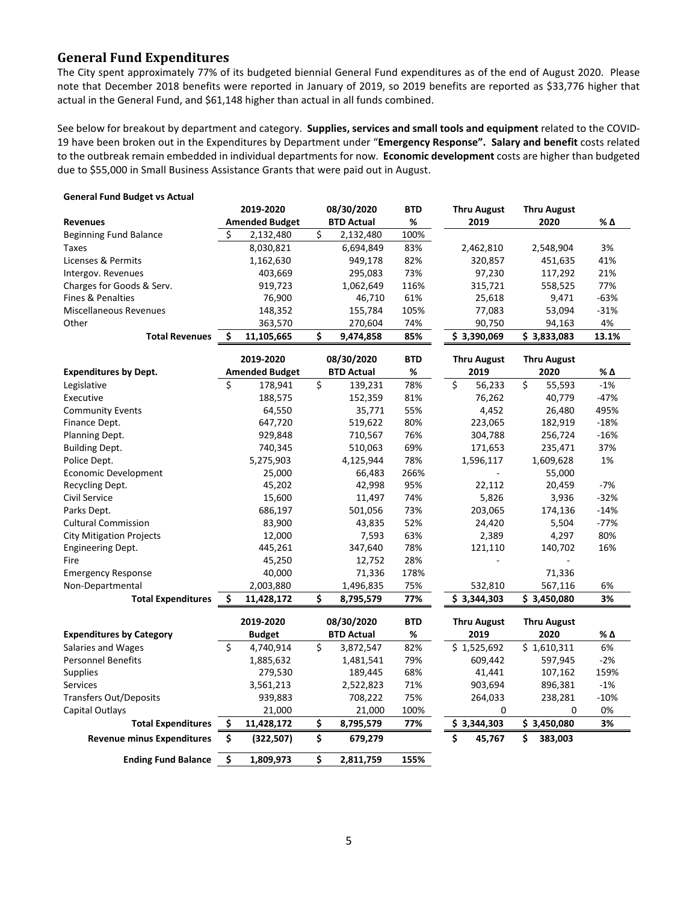## **General Fund Expenditures**

The City spent approximately 77% of its budgeted biennial General Fund expenditures as of the end of August 2020. Please note that December 2018 benefits were reported in January of 2019, so 2019 benefits are reported as \$33,776 higher that actual in the General Fund, and \$61,148 higher than actual in all funds combined.

See below for breakout by department and category. **Supplies, services and small tools and equipment** related to the COVID-19 have been broken out in the Expenditures by Department under "**Emergency Response". Salary and benefit** costs related to the outbreak remain embedded in individual departments for now. **Economic development** costs are higher than budgeted due to \$55,000 in Small Business Assistance Grants that were paid out in August.

| General Fund Dudget vs Actual     |     |                       |    |                   |            |                    |                                   |        |
|-----------------------------------|-----|-----------------------|----|-------------------|------------|--------------------|-----------------------------------|--------|
|                                   |     | 2019-2020             |    | 08/30/2020        | <b>BTD</b> | <b>Thru August</b> | <b>Thru August</b>                |        |
| <b>Revenues</b>                   |     | <b>Amended Budget</b> |    | <b>BTD Actual</b> | %          | 2019               | 2020                              | % Δ    |
| <b>Beginning Fund Balance</b>     |     | 2,132,480             | \$ | 2,132,480         | 100%       |                    |                                   |        |
| Taxes                             |     | 8,030,821             |    | 6,694,849         | 83%        | 2,462,810          | 2,548,904                         | 3%     |
| Licenses & Permits                |     | 1,162,630             |    | 949,178           | 82%        | 320,857            | 451,635                           | 41%    |
| Intergov. Revenues                |     | 403,669               |    | 295,083           | 73%        | 97,230             | 117,292                           | 21%    |
| Charges for Goods & Serv.         |     | 919,723               |    | 1,062,649         | 116%       | 315,721            | 558,525                           | 77%    |
| Fines & Penalties                 |     | 76,900                |    | 46,710            | 61%        | 25,618             | 9,471                             | $-63%$ |
| <b>Miscellaneous Revenues</b>     |     | 148,352               |    | 155,784           | 105%       | 77,083             | 53,094                            | $-31%$ |
| Other                             |     | 363,570               |    | 270,604           | 74%        | 90,750             | 94,163                            | 4%     |
| <b>Total Revenues</b>             | \$. | 11,105,665            | \$ | 9,474,858         | 85%        | \$3,390,069        | \$3,833,083                       | 13.1%  |
|                                   |     | 2019-2020             |    | 08/30/2020        | <b>BTD</b> | <b>Thru August</b> | <b>Thru August</b>                |        |
| <b>Expenditures by Dept.</b>      |     | <b>Amended Budget</b> |    | <b>BTD Actual</b> | %          | 2019               | 2020                              | % Δ    |
| Legislative                       | Ś   | 178,941               | \$ | 139,231           | 78%        | \$<br>56,233       | $\overline{\mathsf{S}}$<br>55,593 | $-1%$  |
| Executive                         |     | 188,575               |    | 152,359           | 81%        | 76,262             | 40,779                            | $-47%$ |
| <b>Community Events</b>           |     | 64,550                |    | 35,771            | 55%        | 4,452              | 26,480                            | 495%   |
| Finance Dept.                     |     | 647,720               |    | 519,622           | 80%        | 223,065            | 182,919                           | $-18%$ |
| Planning Dept.                    |     | 929,848               |    | 710,567           | 76%        | 304,788            | 256,724                           | $-16%$ |
| <b>Building Dept.</b>             |     | 740,345               |    | 510,063           | 69%        | 171,653            | 235,471                           | 37%    |
| Police Dept.                      |     | 5,275,903             |    | 4,125,944         | 78%        | 1,596,117          | 1,609,628                         | 1%     |
| Economic Development              |     | 25,000                |    | 66,483            | 266%       |                    | 55,000                            |        |
| Recycling Dept.                   |     | 45,202                |    | 42,998            | 95%        | 22,112             | 20,459                            | $-7%$  |
| Civil Service                     |     | 15,600                |    | 11,497            | 74%        | 5,826              | 3,936                             | $-32%$ |
| Parks Dept.                       |     | 686,197               |    | 501,056           | 73%        | 203,065            | 174,136                           | $-14%$ |
| <b>Cultural Commission</b>        |     | 83,900                |    | 43,835            | 52%        | 24,420             | 5,504                             | $-77%$ |
| <b>City Mitigation Projects</b>   |     | 12,000                |    | 7,593             | 63%        | 2,389              | 4,297                             | 80%    |
| <b>Engineering Dept.</b>          |     | 445,261               |    | 347,640           | 78%        | 121,110            | 140,702                           | 16%    |
| Fire                              |     | 45,250                |    | 12,752            | 28%        |                    |                                   |        |
| <b>Emergency Response</b>         |     | 40,000                |    | 71,336            | 178%       |                    | 71,336                            |        |
| Non-Departmental                  |     | 2,003,880             |    | 1,496,835         | 75%        | 532,810            | 567,116                           | 6%     |
| <b>Total Expenditures</b>         | Ŝ.  | 11,428,172            | \$ | 8,795,579         | 77%        | \$3,344,303        | \$3,450,080                       | 3%     |
|                                   |     |                       |    |                   |            |                    |                                   |        |
|                                   |     | 2019-2020             |    | 08/30/2020        | <b>BTD</b> | <b>Thru August</b> | <b>Thru August</b>                |        |
| <b>Expenditures by Category</b>   |     | <b>Budget</b>         |    | <b>BTD Actual</b> | %          | 2019               | 2020                              | % Δ    |
| <b>Salaries and Wages</b>         | Ś   | 4,740,914             | Ś  | 3,872,547         | 82%        | \$1,525,692        | \$1,610,311                       | 6%     |
| <b>Personnel Benefits</b>         |     | 1,885,632             |    | 1,481,541         | 79%        | 609,442            | 597,945                           | $-2%$  |
| <b>Supplies</b>                   |     | 279,530               |    | 189,445           | 68%        | 41,441             | 107,162                           | 159%   |
| <b>Services</b>                   |     | 3,561,213             |    | 2,522,823         | 71%        | 903,694            | 896,381                           | $-1%$  |
| <b>Transfers Out/Deposits</b>     |     | 939,883               |    | 708,222           | 75%        | 264,033            | 238,281                           | $-10%$ |
| Capital Outlays                   |     | 21,000                |    | 21,000            | 100%       | 0                  | 0                                 | 0%     |
| <b>Total Expenditures</b>         | \$  | 11,428,172            | \$ | 8,795,579         | 77%        | \$3,344,303        | \$3,450,080                       | 3%     |
| <b>Revenue minus Expenditures</b> | \$  | (322, 507)            | \$ | 679,279           |            | \$<br>45,767       | Ś<br>383,003                      |        |
| <b>Ending Fund Balance</b>        | \$  | 1,809,973             | \$ | 2,811,759         | 155%       |                    |                                   |        |

### **General Fund Budget vs Actual**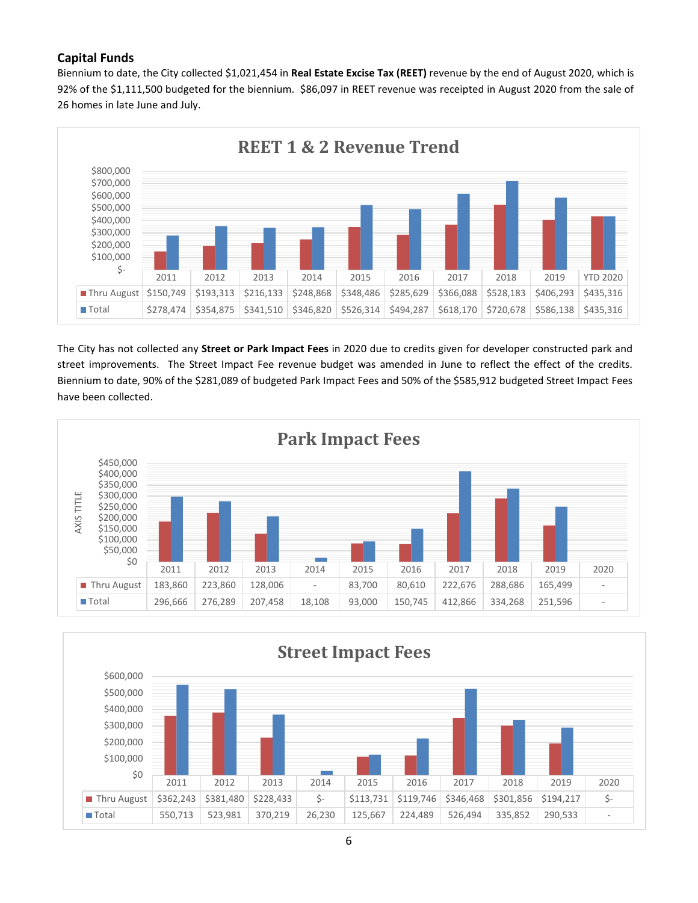# **Capital Funds**

Biennium to date, the City collected \$1,021,454 in **Real Estate Excise Tax (REET)** revenue by the end of August 2020, which is 92% of the \$1,111,500 budgeted for the biennium. \$86,097 in REET revenue was receipted in August 2020 from the sale of 26 homes in late June and July.



The City has not collected any **Street or Park Impact Fees** in 2020 due to credits given for developer constructed park and street improvements. The Street Impact Fee revenue budget was amended in June to reflect the effect of the credits. Biennium to date, 90% of the \$281,089 of budgeted Park Impact Fees and 50% of the \$585,912 budgeted Street Impact Fees have been collected.



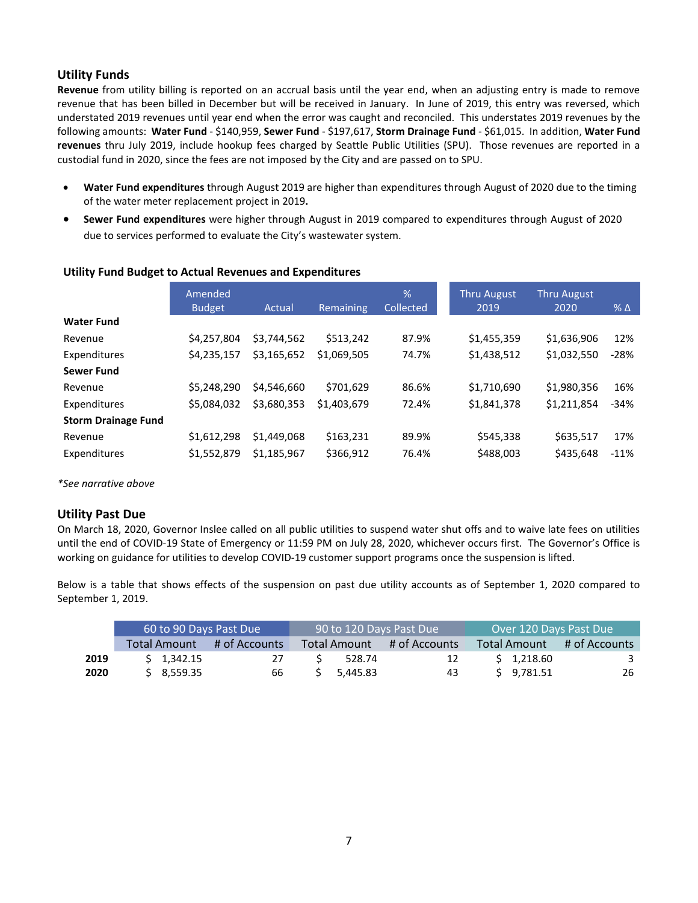## **Utility Funds**

**Revenue** from utility billing is reported on an accrual basis until the year end, when an adjusting entry is made to remove revenue that has been billed in December but will be received in January. In June of 2019, this entry was reversed, which understated 2019 revenues until year end when the error was caught and reconciled. This understates 2019 revenues by the following amounts: **Water Fund** - \$140,959, **Sewer Fund** - \$197,617, **Storm Drainage Fund** - \$61,015. In addition, **Water Fund revenues** thru July 2019, include hookup fees charged by Seattle Public Utilities (SPU). Those revenues are reported in a custodial fund in 2020, since the fees are not imposed by the City and are passed on to SPU.

- **Water Fund expenditures** through August 2019 are higher than expenditures through August of 2020 due to the timing of the water meter replacement project in 2019**.**
- **Sewer Fund expenditures** were higher through August in 2019 compared to expenditures through August of 2020 due to services performed to evaluate the City's wastewater system.

|                            | Amended<br><b>Budget</b> | Actual      | Remaining   | %<br>Collected | <b>Thru August</b><br>2019 | <b>Thru August</b><br>2020 | $%$ $\triangle$ |
|----------------------------|--------------------------|-------------|-------------|----------------|----------------------------|----------------------------|-----------------|
| <b>Water Fund</b>          |                          |             |             |                |                            |                            |                 |
| Revenue                    | \$4,257,804              | \$3,744,562 | \$513,242   | 87.9%          | \$1,455,359                | \$1,636,906                | 12%             |
| Expenditures               | \$4,235,157              | \$3,165,652 | \$1,069,505 | 74.7%          | \$1,438,512                | \$1,032,550                | $-28%$          |
| <b>Sewer Fund</b>          |                          |             |             |                |                            |                            |                 |
| Revenue                    | \$5,248,290              | \$4,546,660 | \$701,629   | 86.6%          | \$1,710,690                | \$1,980,356                | 16%             |
| Expenditures               | \$5.084.032              | \$3,680,353 | \$1,403,679 | 72.4%          | \$1,841,378                | \$1,211,854                | $-34%$          |
| <b>Storm Drainage Fund</b> |                          |             |             |                |                            |                            |                 |
| Revenue                    | \$1,612,298              | \$1,449,068 | \$163,231   | 89.9%          | \$545,338                  | \$635,517                  | 17%             |
| Expenditures               | \$1,552,879              | \$1.185.967 | \$366,912   | 76.4%          | \$488,003                  | \$435,648                  | $-11%$          |

## **Utility Fund Budget to Actual Revenues and Expenditures**

*\*See narrative above*

## **Utility Past Due**

On March 18, 2020, Governor Inslee called on all public utilities to suspend water shut offs and to waive late fees on utilities until the end of COVID-19 State of Emergency or 11:59 PM on July 28, 2020, whichever occurs first. The Governor's Office is working on guidance for utilities to develop COVID-19 customer support programs once the suspension is lifted.

Below is a table that shows effects of the suspension on past due utility accounts as of September 1, 2020 compared to September 1, 2019.

|      | 60 to 90 Days Past Due |                    |               |                     | 90 to 120 Days Past Due | Over 120 Days Past Due |              |               |  |
|------|------------------------|--------------------|---------------|---------------------|-------------------------|------------------------|--------------|---------------|--|
|      |                        | Total Amount       | # of Accounts | <b>Total Amount</b> | # of Accounts           |                        | Total Amount | # of Accounts |  |
| 2019 |                        | $5 \quad 1.342.15$ | 27            | 528.74              | 12                      |                        | \$1.218.60   |               |  |
| 2020 |                        | \$3,559.35         | 66            | 5.445.83            | 43                      |                        | \$9.781.51   | 26            |  |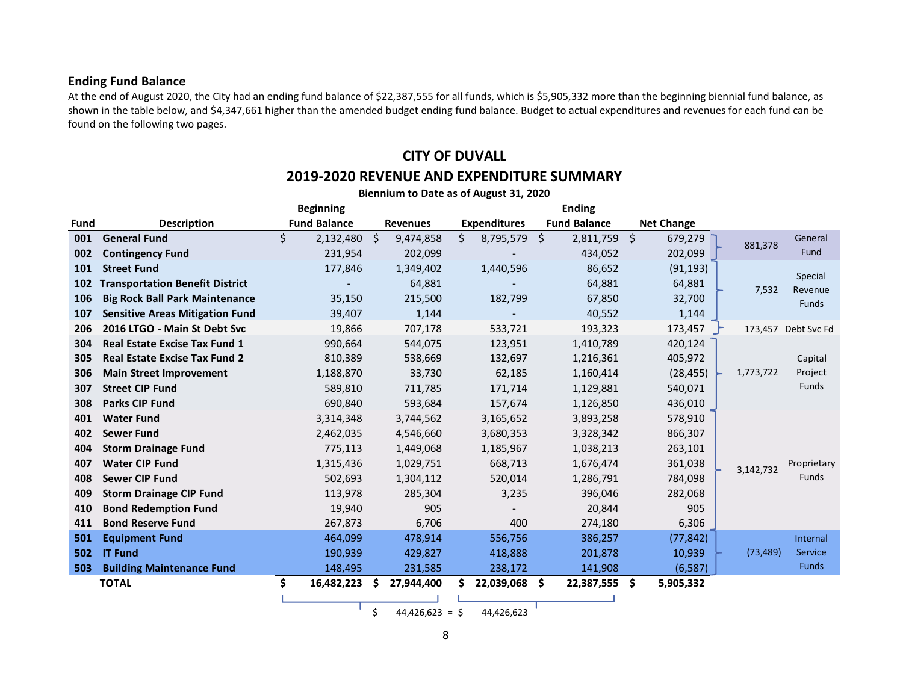## **Ending Fund Balance**

At the end of August 2020, the City had an ending fund balance of \$22,387,555 for all funds, which is \$5,905,332 more than the beginning biennial fund balance, as shown in the table below, and \$4,347,661 higher than the amended budget ending fund balance. Budget to actual expenditures and revenues for each fund can be found on the following two pages.

# **CITY OF DUVALL 2019-2020 REVENUE AND EXPENDITURE SUMMARY**

|             | Biennium to Date as of August 31, 2020 |                     |                                  |                     |                     |                   |                             |  |  |  |  |
|-------------|----------------------------------------|---------------------|----------------------------------|---------------------|---------------------|-------------------|-----------------------------|--|--|--|--|
|             |                                        | <b>Beginning</b>    |                                  |                     | <b>Ending</b>       |                   |                             |  |  |  |  |
| <b>Fund</b> | <b>Description</b>                     | <b>Fund Balance</b> | <b>Revenues</b>                  | <b>Expenditures</b> | <b>Fund Balance</b> | <b>Net Change</b> |                             |  |  |  |  |
| 001         | <b>General Fund</b>                    | \$<br>2,132,480     | $\ddot{\mathsf{s}}$<br>9,474,858 | \$<br>8,795,579 \$  | 2,811,759 \$        | 679,279           | General<br>881,378          |  |  |  |  |
| 002         | <b>Contingency Fund</b>                | 231,954             | 202,099                          |                     | 434,052             | 202,099           | Fund                        |  |  |  |  |
| 101         | <b>Street Fund</b>                     | 177,846             | 1,349,402                        | 1,440,596           | 86,652              | (91, 193)         |                             |  |  |  |  |
| 102         | <b>Transportation Benefit District</b> |                     | 64,881                           |                     | 64,881              | 64,881            | Special<br>7,532<br>Revenue |  |  |  |  |
| 106         | <b>Big Rock Ball Park Maintenance</b>  | 35,150              | 215,500                          | 182,799             | 67,850              | 32,700            | <b>Funds</b>                |  |  |  |  |
| 107         | <b>Sensitive Areas Mitigation Fund</b> | 39,407              | 1,144                            |                     | 40,552              | 1,144             |                             |  |  |  |  |
| 206         | 2016 LTGO - Main St Debt Svc           | 19,866              | 707,178                          | 533,721             | 193,323             | 173,457           | 173,457 Debt Svc Fd         |  |  |  |  |
| 304         | <b>Real Estate Excise Tax Fund 1</b>   | 990,664             | 544,075                          | 123,951             | 1,410,789           | 420,124           |                             |  |  |  |  |
| 305         | <b>Real Estate Excise Tax Fund 2</b>   | 810,389             | 538,669                          | 132,697             | 1,216,361           | 405,972           | Capital                     |  |  |  |  |
| 306         | <b>Main Street Improvement</b>         | 1,188,870           | 33,730                           | 62,185              | 1,160,414           | (28, 455)         | Project<br>1,773,722        |  |  |  |  |
| 307         | <b>Street CIP Fund</b>                 | 589,810             | 711,785                          | 171,714             | 1,129,881           | 540,071           | Funds                       |  |  |  |  |
| 308         | <b>Parks CIP Fund</b>                  | 690,840             | 593,684                          | 157,674             | 1,126,850           | 436,010           |                             |  |  |  |  |
| 401         | <b>Water Fund</b>                      | 3,314,348           | 3,744,562                        | 3,165,652           | 3,893,258           | 578,910           |                             |  |  |  |  |
| 402         | <b>Sewer Fund</b>                      | 2,462,035           | 4,546,660                        | 3,680,353           | 3,328,342           | 866,307           |                             |  |  |  |  |
| 404         | <b>Storm Drainage Fund</b>             | 775,113             | 1,449,068                        | 1,185,967           | 1,038,213           | 263,101           |                             |  |  |  |  |
| 407         | <b>Water CIP Fund</b>                  | 1,315,436           | 1,029,751                        | 668,713             | 1,676,474           | 361,038           | Proprietary<br>3,142,732    |  |  |  |  |
| 408         | <b>Sewer CIP Fund</b>                  | 502,693             | 1,304,112                        | 520,014             | 1,286,791           | 784,098           | <b>Funds</b>                |  |  |  |  |
| 409         | <b>Storm Drainage CIP Fund</b>         | 113,978             | 285,304                          | 3,235               | 396,046             | 282,068           |                             |  |  |  |  |
| 410         | <b>Bond Redemption Fund</b>            | 19,940              | 905                              |                     | 20,844              | 905               |                             |  |  |  |  |
| 411         | <b>Bond Reserve Fund</b>               | 267,873             | 6,706                            | 400                 | 274,180             | 6,306             |                             |  |  |  |  |
| 501         | <b>Equipment Fund</b>                  | 464,099             | 478,914                          | 556,756             | 386,257             | (77, 842)         | Internal                    |  |  |  |  |
| 502         | <b>IT Fund</b>                         | 190,939             | 429,827                          | 418,888             | 201,878             | 10,939            | (73, 489)<br>Service        |  |  |  |  |
| 503         | <b>Building Maintenance Fund</b>       | 148,495             | 231,585                          | 238,172             | 141,908             | (6, 587)          | <b>Funds</b>                |  |  |  |  |
|             | <b>TOTAL</b>                           | 16,482,223          | 27,944,400                       | 22,039,068          | 22,387,555<br>S.    | \$.<br>5,905,332  |                             |  |  |  |  |
|             |                                        |                     |                                  |                     |                     |                   |                             |  |  |  |  |

 $\frac{1}{2}$  44,426,623 =  $\frac{1}{2}$  44,426,623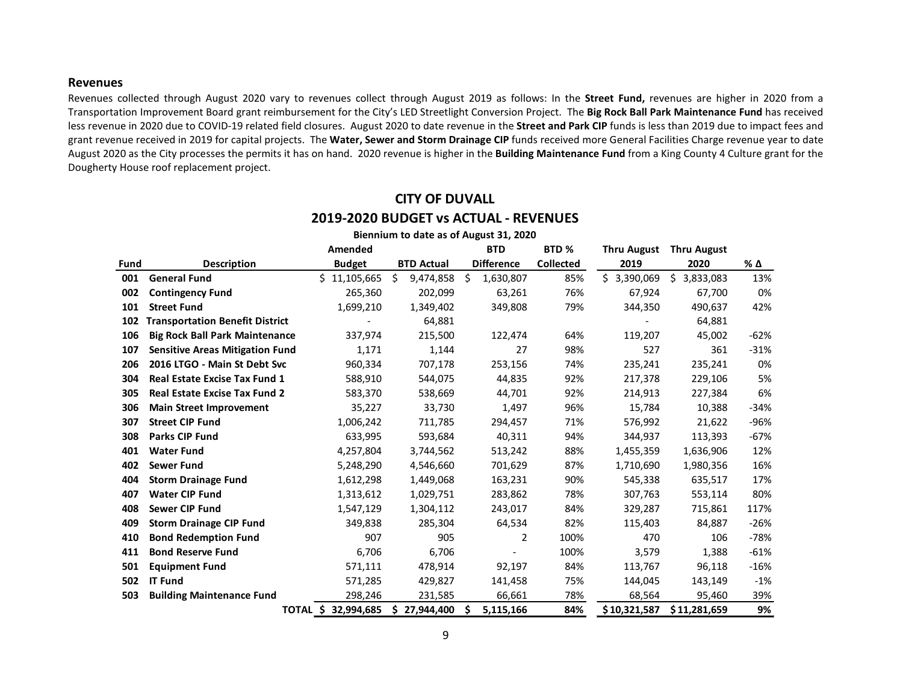#### **Revenues**

Revenues collected through August 2020 vary to revenues collect through August 2019 as follows: In the **Street Fund,** revenues are higher in 2020 from a Transportation Improvement Board grant reimbursement for the City's LED Streetlight Conversion Project. The **Big Rock Ball Park Maintenance Fund** has received less revenue in 2020 due to COVID-19 related field closures. August 2020 to date revenue in the **Street and Park CIP** funds is less than 2019 due to impact fees and grant revenue received in 2019 for capital projects. The **Water, Sewer and Storm Drainage CIP** funds received more General Facilities Charge revenue year to date August 2020 as the City processes the permits it has on hand. 2020 revenue is higher in the **Building Maintenance Fund** from a King County 4 Culture grant for the Dougherty House roof replacement project.

|      | Biennium to date as of August 31, 2020 |               |                   |   |                   |                  |                    |                    |        |  |  |  |
|------|----------------------------------------|---------------|-------------------|---|-------------------|------------------|--------------------|--------------------|--------|--|--|--|
|      |                                        | Amended       |                   |   | <b>BTD</b>        | BTD <sub>%</sub> | <b>Thru August</b> | <b>Thru August</b> |        |  |  |  |
| Fund | <b>Description</b>                     | <b>Budget</b> | <b>BTD Actual</b> |   | <b>Difference</b> | <b>Collected</b> | 2019               | 2020               | % Δ    |  |  |  |
| 001  | <b>General Fund</b>                    | \$11,105,665  | \$<br>9,474,858   | Ŝ | 1,630,807         | 85%              | Ś.<br>3,390,069    | \$.<br>3,833,083   | 13%    |  |  |  |
| 002  | <b>Contingency Fund</b>                | 265,360       | 202,099           |   | 63,261            | 76%              | 67,924             | 67,700             | 0%     |  |  |  |
| 101  | <b>Street Fund</b>                     | 1,699,210     | 1,349,402         |   | 349,808           | 79%              | 344,350            | 490,637            | 42%    |  |  |  |
| 102  | <b>Transportation Benefit District</b> |               | 64,881            |   |                   |                  |                    | 64,881             |        |  |  |  |
| 106  | <b>Big Rock Ball Park Maintenance</b>  | 337,974       | 215,500           |   | 122,474           | 64%              | 119,207            | 45,002             | -62%   |  |  |  |
| 107  | <b>Sensitive Areas Mitigation Fund</b> | 1,171         | 1,144             |   | 27                | 98%              | 527                | 361                | $-31%$ |  |  |  |
| 206  | 2016 LTGO - Main St Debt Svc           | 960,334       | 707,178           |   | 253,156           | 74%              | 235,241            | 235,241            | 0%     |  |  |  |
| 304  | <b>Real Estate Excise Tax Fund 1</b>   | 588,910       | 544,075           |   | 44,835            | 92%              | 217,378            | 229,106            | 5%     |  |  |  |
| 305  | <b>Real Estate Excise Tax Fund 2</b>   | 583,370       | 538,669           |   | 44,701            | 92%              | 214,913            | 227,384            | 6%     |  |  |  |
| 306  | <b>Main Street Improvement</b>         | 35,227        | 33,730            |   | 1,497             | 96%              | 15,784             | 10,388             | $-34%$ |  |  |  |
| 307  | <b>Street CIP Fund</b>                 | 1,006,242     | 711,785           |   | 294,457           | 71%              | 576,992            | 21,622             | $-96%$ |  |  |  |
| 308  | Parks CIP Fund                         | 633,995       | 593,684           |   | 40,311            | 94%              | 344,937            | 113,393            | $-67%$ |  |  |  |
| 401  | <b>Water Fund</b>                      | 4,257,804     | 3,744,562         |   | 513,242           | 88%              | 1,455,359          | 1,636,906          | 12%    |  |  |  |
| 402  | <b>Sewer Fund</b>                      | 5,248,290     | 4,546,660         |   | 701,629           | 87%              | 1,710,690          | 1,980,356          | 16%    |  |  |  |
| 404  | <b>Storm Drainage Fund</b>             | 1,612,298     | 1,449,068         |   | 163,231           | 90%              | 545,338            | 635,517            | 17%    |  |  |  |
| 407  | <b>Water CIP Fund</b>                  | 1,313,612     | 1,029,751         |   | 283,862           | 78%              | 307,763            | 553,114            | 80%    |  |  |  |
| 408  | Sewer CIP Fund                         | 1,547,129     | 1,304,112         |   | 243,017           | 84%              | 329,287            | 715,861            | 117%   |  |  |  |
| 409  | <b>Storm Drainage CIP Fund</b>         | 349,838       | 285,304           |   | 64,534            | 82%              | 115,403            | 84,887             | $-26%$ |  |  |  |
| 410  | <b>Bond Redemption Fund</b>            | 907           | 905               |   | 2                 | 100%             | 470                | 106                | $-78%$ |  |  |  |
| 411  | <b>Bond Reserve Fund</b>               | 6,706         | 6,706             |   |                   | 100%             | 3,579              | 1,388              | $-61%$ |  |  |  |
| 501  | <b>Equipment Fund</b>                  | 571,111       | 478,914           |   | 92,197            | 84%              | 113,767            | 96,118             | $-16%$ |  |  |  |
| 502  | <b>IT Fund</b>                         | 571,285       | 429,827           |   | 141,458           | 75%              | 144,045            | 143,149            | $-1%$  |  |  |  |
| 503  | <b>Building Maintenance Fund</b>       | 298,246       | 231,585           |   | 66,661            | 78%              | 68,564             | 95,460             | 39%    |  |  |  |
|      | TOTAL \$                               | 32,994,685    | \$<br>27,944,400  | Ŝ | 5,115,166         | 84%              | \$10,321,587       | \$11,281,659       | 9%     |  |  |  |

# **CITY OF DUVALL 2019-2020 BUDGET vs ACTUAL - REVENUES**